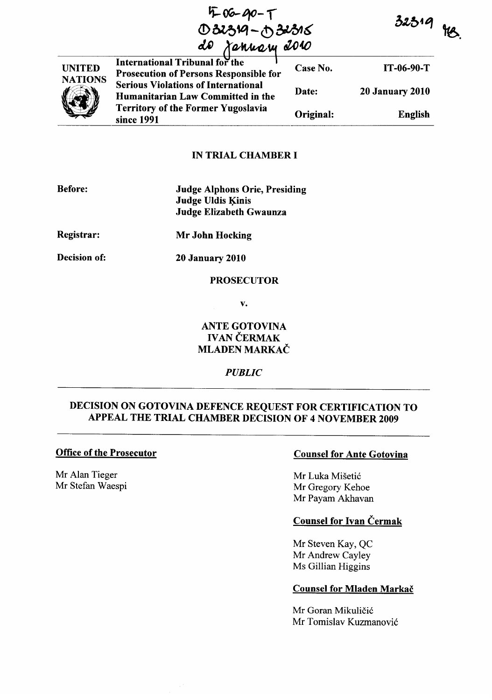'i: **OG-***t}O-* **t**  032319-032316

| <b>UNITED</b><br><b>NATIONS</b> | International Tribunal for the<br><b>Prosecution of Persons Responsible for</b>                                                            | Case No.  | IT-06-90-T             |
|---------------------------------|--------------------------------------------------------------------------------------------------------------------------------------------|-----------|------------------------|
|                                 | <b>Serious Violations of International</b><br>Humanitarian Law Committed in the<br><b>Territory of the Former Yugoslavia</b><br>since 1991 | Date:     | <b>20 January 2010</b> |
|                                 |                                                                                                                                            | Original: | English                |
|                                 |                                                                                                                                            |           |                        |

### IN TRIAL CHAMBER I

| <b>Before:</b> | <b>Judge Alphons Orie, Presiding</b><br><b>Judge Uldis Kinis</b><br>Judge Elizabeth Gwaunza |
|----------------|---------------------------------------------------------------------------------------------|
| Registrar:     | Mr John Hocking                                                                             |
| Decision of:   | <b>20 January 2010</b>                                                                      |

## PROSECUTOR

v.

## ANTE GOTOVINA **IVAN ČERMAK** MLADEN MARKAČ

*PUBLIC* 

# DECISION ON GOTOVINA DEFENCE REQUEST FOR CERTIFICATION TO APPEAL THE TRIAL CHAMBER DECISION OF 4 NOVEMBER 2009

### Office of the Prosecutor

Mr Alan Tieger Mr Stefan Waespi

## Counsel for Ante Gotovina

Mr Luka Mišetić Mr Gregory Kehoe Mr Payam Akhavan

## Counsel for Ivan Cermak

Mr Steven Kay, QC Mr Andrew Cayley Ms Gillian Higgins

#### Counsel for Mladen Markač

Mr Goran Mikuličić Mr Tomislav Kuzmanović

 $32319$  HB.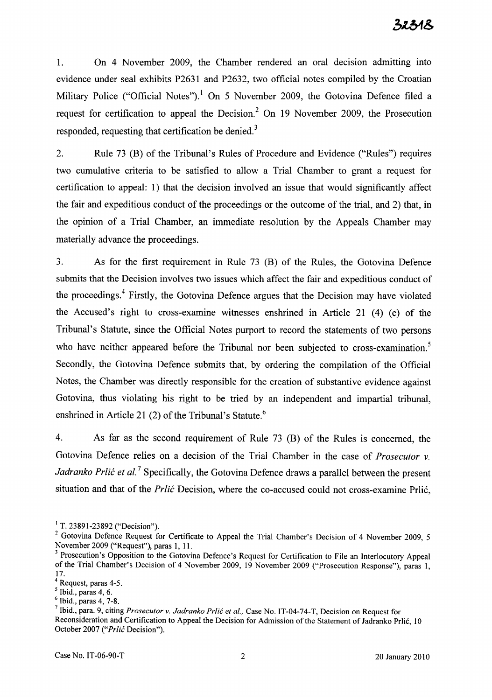1. On 4 November 2009, the Chamber rendered an oral decision admitting into evidence under seal exhibits P2631 and P2632, two official notes compiled by the Croatian Military Police ("Official Notes").<sup>1</sup> On 5 November 2009, the Gotovina Defence filed a request for certification to appeal the Decision? On 19 November 2009, the Prosecution responded, requesting that certification be denied.<sup>3</sup>

2. Rule 73 (B) of the Tribunal's Rules of Procedure and Evidence ("Rules") requires two cumulative criteria to be satisfied to allow a Trial Chamber to grant a request for certification to appeal: 1) that the decision involved an issue that would significantly affect the fair and expeditious conduct of the proceedings or the outcome of the trial, and 2) that, in the opinion of a Trial Chamber, an immediate resolution by the Appeals Chamber may materially advance the proceedings.

3. As for the first requirement in Rule 73 (B) of the Rules, the Gotovina Defence submits that the Decision involves two issues which affect the fair and expeditious conduct of the proceedings.<sup>4</sup> Firstly, the Gotovina Defence argues that the Decision may have violated the Accused's right to cross-examine witnesses enshrined in Article 21 (4) (e) of the Tribunal's Statute, since the Official Notes purport to record the statements of two persons who have neither appeared before the Tribunal nor been subjected to cross-examination.<sup>5</sup> Secondly, the Gotovina Defence submits that, by ordering the compilation of the Official Notes, the Chamber was directly responsible for the creation of substantive evidence against Gotovina, thus violating his right to be tried by an independent and impartial tribunal, enshrined in Article 21 (2) of the Tribunal's Statute.<sup>6</sup>

4. As far as the second requirement of Rule 73 (B) of the Rules is concerned, the Gotovina Defence relies on a decision of the Trial Chamber in the case of *Prosecutor* v. Jadranko Prlić et al.<sup>7</sup> Specifically, the Gotovina Defence draws a parallel between the present situation and that of the *Prlić* Decision, where the co-accused could not cross-examine Prlić,

 $<sup>1</sup>$  T. 23891-23892 ("Decision").</sup>

<sup>&</sup>lt;sup>2</sup> Gotovina Defence Request for Certificate to Appeal the Trial Chamber's Decision of 4 November 2009, 5 November 2009 ("Request"), paras 1, 11.

<sup>&</sup>lt;sup>3</sup> Prosecution's Opposition to the Gotovina Defence's Request for Certification to File an Interlocutory Appeal of the Trial Chamber's Decision of 4 November 2009, 19 November 2009 ("Prosecution Response"), paras 1, 17.

<sup>4</sup> Request, paras 4-5.

 $<sup>5</sup>$  Ibid., paras 4, 6.</sup>

 $6$  Ibid., paras 4, 7-8.

<sup>7</sup> Ibid., para. 9, citing *Prosecutor* v. *Jadranko Prlic et aI.,* Case No. IT-04-74-T, Decision on Request for Reconsideration and Certification to Appeal the Decision for Admission of the Statement of Jadranko Prlic, 10 October 2007 ("Prlić Decision").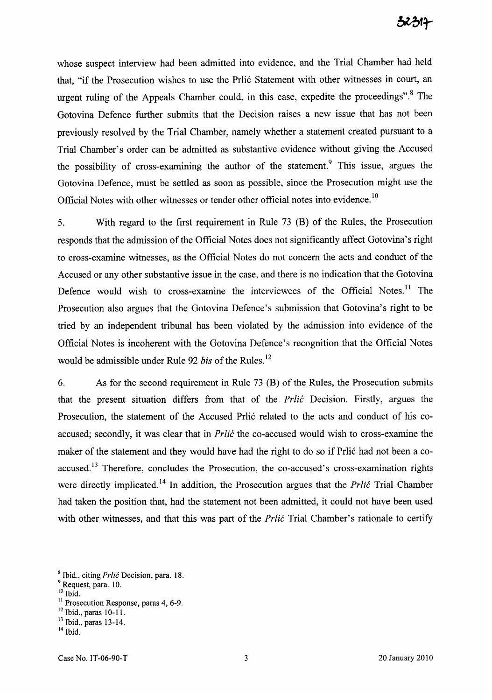whose suspect interview had been admitted into evidence, and the Trial Chamber had held that, "if the Prosecution wishes to use the Prlić Statement with other witnesses in court, an urgent ruling of the Appeals Chamber could, in this case, expedite the proceedings".<sup>8</sup> The Gotovina Defence further submits that the Decision raises a new issue that has not been previously resolved by the Trial Chamber, namely whether a statement created pursuant to a Trial Chamber's order can be admitted as substantive evidence without giving the Accused the possibility of cross-examining the author of the statement.<sup>9</sup> This issue, argues the Gotovina Defence, must be settled as soon as possible, since the Prosecution might use the Official Notes with other witnesses or tender other official notes into evidence.<sup>10</sup>

5. With regard to the first requirement in Rule 73 (B) of the Rules, the Prosecution responds that the admission of the Official Notes does not significantly affect Gotovina's right to cross-examine witnesses, as the Official Notes do not concern the acts and conduct of the Accused or any other substantive issue in the case, and there is no indication that the Gotovina Defence would wish to cross-examine the interviewees of the Official Notes.<sup>11</sup> The Prosecution also argues that the Gotovina Defence's submission that Gotovina's right to be tried by an independent tribunal has been violated by the admission into evidence of the Official Notes is incoherent with the Gotovina Defence's recognition that the Official Notes would be admissible under Rule 92 *his* of the Rules. <sup>12</sup>

6. As for the second requirement in Rule 73 (B) of the Rules, the Prosecution submits that the present situation differs from that of the *Prlic* Decision. Firstly, argues the Prosecution, the statement of the Accused Prlić related to the acts and conduct of his coaccused; secondly, it was clear that in *Prlić* the co-accused would wish to cross-examine the maker of the statement and they would have had the right to do so if Prlić had not been a coaccused.<sup>13</sup> Therefore, concludes the Prosecution, the co-accused's cross-examination rights were directly implicated.<sup>14</sup> In addition, the Prosecution argues that the *Prlic* Trial Chamber had taken the position that, had the statement not been admitted, it could not have been used with other witnesses, and that this was part of the *Prlić* Trial Chamber's rationale to certify

- $^{10}$  Ibid.
- $11$  Prosecution Response, paras 4, 6-9.

<sup>&</sup>lt;sup>8</sup> Ibid., citing Prlić Decision, para. 18.

<sup>9</sup> Request, para. 10.

<sup>12</sup> Ibid., paras 10-11.

 $\frac{13}{13}$  Ibid., paras 13-14.

<sup>14</sup> Ibid.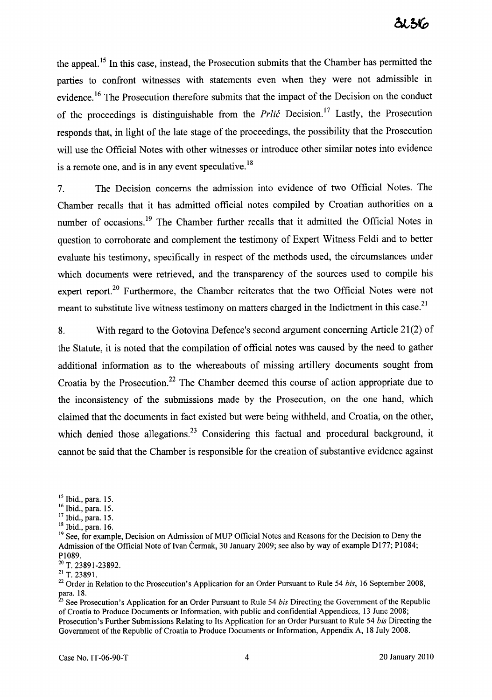the appeal.<sup>15</sup> In this case, instead, the Prosecution submits that the Chamber has permitted the parties to confront witnesses with statements even when they were not admissible in evidence.<sup>16</sup> The Prosecution therefore submits that the impact of the Decision on the conduct of the proceedings is distinguishable from the *Prlić* Decision.<sup>17</sup> Lastly, the Prosecution responds that, in light of the late stage of the proceedings, the possibility that the Prosecution will use the Official Notes with other witnesses or introduce other similar notes into evidence is a remote one, and is in any event speculative.<sup>18</sup>

7. The Decision concerns the admission into evidence of two Official Notes. The Chamber recalls that it has admitted official notes compiled by Croatian authorities on a number of occasions.<sup>19</sup> The Chamber further recalls that it admitted the Official Notes in question to corroborate and complement the testimony of Expert Witness Feldi and to better evaluate his testimony, specifically in respect of the methods used, the circumstances under which documents were retrieved, and the transparency of the sources used to compile his expert report.<sup>20</sup> Furthermore, the Chamber reiterates that the two Official Notes were not meant to substitute live witness testimony on matters charged in the Indictment in this case.<sup>21</sup>

8. With regard to the Gotovina Defence's second argument concerning Article 21(2) of the Statute, it is noted that the compilation of official notes was caused by the need to gather additional information as to the whereabouts of missing artillery documents sought from Croatia by the Prosecution.<sup>22</sup> The Chamber deemed this course of action appropriate due to the inconsistency of the submissions made by the Prosecution, on the one hand, which claimed that the documents in fact existed but were being withheld, and Croatia, on the other, which denied those allegations.<sup>23</sup> Considering this factual and procedural background, it cannot be said that the Chamber is responsible for the creation of substantive evidence against

 $15$  Ibid., para. 15.

<sup>16</sup> Ibid., para. 15.

<sup>17</sup> Ibid., para. 15.

 $18$  Ibid., para. 16.

<sup>&</sup>lt;sup>19</sup> See, for example, Decision on Admission of MUP Official Notes and Reasons for the Decision to Deny the Admission of the Official Note of Ivan Čermak, 30 January 2009; see also by way of example D177; P1084; P1089.

 $20$  T. 23891-23892.

 $^{21}$  T. 23891.

<sup>22</sup> Order in Relation to the Prosecution's Application for an Order Pursuant to Rule 54 *bis,* 16 September 2008, para. 18.

<sup>23</sup> See Prosecution's Application for an Order Pursuant to Rule 54 *bis* Directing the Government of the Republic ofCroatia to Produce Documents or Information, with public and confidential Appendices, 13 June 2008; Prosecution's Further Submissions Relating to Its Application for an Order Pursuant to Rule 54 *bis* Directing the Government of the Republic of Croatia to Produce Documents or Information, Appendix A, 18 July 2008.